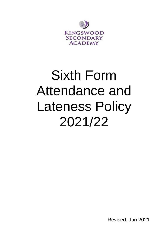

# Sixth Form Attendance and Lateness Policy 2021/22

Revised: Jun 2021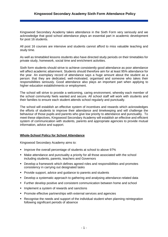Kingswood Secondary Academy takes attendance in the Sixth Form very seriously and we acknowledge that good school attendance plays an essential part in academic development for post 16 students.

All post 16 courses are intensive and students cannot afford to miss valuable teaching and study time.

As well as timetabled lessons students also have directed study periods on their timetables for private study, homework, social time and enrichment activities.

Sixth form students should strive to achieve consistently good attendance as poor attendance will affect academic attainment. Students should therefore aim for at least 95% attendance for the year. An exemplary record of attendance says a huge amount about the student as a person: that they are dedicated, well-motivated, organised and someone who takes their responsibilities seriously. Good attendance also plays an important part when applying to higher education establishments or employment.

The school will strive to provide a welcoming, caring environment, whereby each member of the school community feels wanted and secure. All school staff will work with students and their families to ensure each student attends school regularly and punctually.

The school will establish an effective system of incentives and rewards which acknowledges the efforts of students to improve their attendance and timekeeping and will challenge the behaviour of those pupils and parents who give low priority to attendance and punctuality. To meet these objectives, Kingswood Secondary Academy will establish an effective and efficient system of communication with students, parents and appropriate agencies to provide mutual information, advice and support.

#### **Whole-School Policy for School Attendance**

Kingswood Secondary Academy aims to:

- **EXTERGHTM** Improve the overall percentage of students at school to above 97%
- Make attendance and punctuality a priority for all those associated with the school including students, parents, teachers and Governors
- **Develop a framework which defines agreed roles and responsibilities and promotes** consistency in carrying out designated tasks
- Provide support, advice and guidance to parents and students
- **Develop a systematic approach to gathering and analysing attendance-related data**
- **EXECT Further develop positive and consistent communication between home and school**
- **.** Implement a system of rewards and sanctions
- Promote effective partnerships with external services and agencies
- Recognise the needs and support of the individual student when planning reintegration following significant periods of absence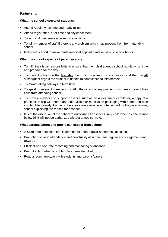# **Partnership**

### **What the school expects of students**

- Attend regularly, on time and ready to learn
- Attend registration, tutor time and any enrichment
- **•** To sign in if they arrive after registration time
- To tell a member of staff if there is any problem which may prevent them from attending school
- Make every effort to make dental/medical appointments outside of school hours

#### **What the school expects of parents/carers**

- To fulfil their legal responsibility to ensure that their child attends school regularly, on time and prepared for the day
- To contact school on the **first day** their child is absent for any reason and then on **all** subsequent days if the student is unable to contact school him/herself.
- To **avoid** taking holidays in term time
- To speak to relevant members of staff if they know of any problem which may prevent their child from attending school
- To provide evidence to support absence such as an appointment card/letter, a copy of a prescription slip with name and date visible or medication packaging with name and date visible. Alternatively if none of the above are available a note, signed by the parent/carer, school explaining the reason for absence.
- **.** It is at the discretion of the school to authorize all absences. Any child who has attendance below 95% will not be authorized without a medical note.

#### **What parents/carers and pupils can expect from school**

- A Sixth form education that is dependent upon regular attendance at school
- **Promotion of good attendance and punctuality at school, and regular encouragement and** rewards
- **Efficient and accurate recording and monitoring of absence**
- **Prompt action when a problem has been identified**
- Regular communication with students and parents/carers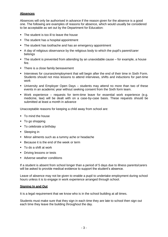# **Absences**

Absences will only be authorised in advance if the reason given for the absence is a good one. The following are examples of reasons for absence, which would usually be considered to be acceptable as set out by the Department for Education:

- The student is too ill to leave the house
- The student has a hospital appointment
- The student has toothache and has an emergency appointment
- A day of religious observance by the religious body to which the pupil's parent/carer belongs
- The student is prevented from attending by an unavoidable cause for example, a house fire.
- **•** There is a close family bereavement
- **.** Interviews for courses/employment that will begin after the end of their time in Sixth Form. Students should not miss lessons to attend interviews, shifts and inductions for part-time work
- University and Employer Open Days students may attend no more than two of these events in an academic year without seeking consent from the Sixth form team.
- Work experience requests for term-time leave for essential work experience (e.g. medicine, law) will be dealt with on a case-by-case basis. These requests should be submitted at least a month in advance

Unacceptable reasons for keeping a child away from school are:

- To mind the house
- To go shopping
- To celebrate a birthday
- Sleeping in
- Minor ailments such as a tummy ache or headache
- Because it is the end of the week or term
- To do a shift at work
- **•** Driving lessons or tests
- Adverse weather conditions

If a student is absent from school longer than a period of 5 days due to illness parents/carers will be asked to provide medical evidence to support the student's absence.

Leave of absence may not be given to enable a pupil to undertake employment during school hours unless it is to engage in work experience arranged through school.

#### **Signing In and Out**

It is a legal requirement that we know who is in the school building at all times.

Students must make sure that they sign in each time they are late to school then sign out each time they leave the building throughout the day.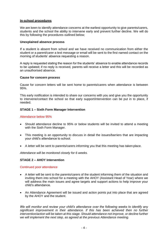### **In-school procedures**

We are keen to identify attendance concerns at the earliest opportunity to give parents/carers, students and the school the ability to intervene early and prevent further decline. We will do this by following the procedures outlined below;

#### **Unexplained absence process**

If a student is absent from school and we have received no communication from either the student or a parent/carer a text message or email will be sent to the first named contact on the morning of students' absence requesting a reason.

A reply is requested stating the reason for the students' absence to enable attendance records to be updated; if no reply is received, parents will receive a letter and this will be recorded as an unauthorised absence.

#### **Cause for concern process**

Cause for concern letters will be sent home to parents/carers when attendance is between 95%.

This early notification is intended to share our concerns with you and give you the opportunity to intervene/contact the school so that early support/intervention can be put in to place, if needed.

#### **STAGE 1 – Sixth Form Manager Intervention**

#### Attendance below 95%

- Should attendance decline to 95% or below students will be invited to attend a meeting with the Sixth Form Manager.
- This meeting is an opportunity to discuss in detail the issues/barriers that are impacting your child's attendance to school.
- A letter will be sent to parents/carers informing you that this meeting has taken place.

*Attendance will be monitored closely for 6 weeks.* 

#### **STAGE 2 – AHOY Intervention**

#### Continued poor attendance

- A letter will be sent to the parents/carers of the student informing them of the situation and inviting them into school for a meeting with the AHOY (Assistant Head of Year) where we will address the main issues and agree targets and support actions to help improve your child's attendance.
- An Attendance Agreement will be issued and action points put into place that are agreed by the AHOY and the student.

*We will monitor and review your child's attendance over the following weeks to identify any significant improvement in their attendance. If this has been achieved then no further intervention/action will be taken at this stage. Should attendance not improve, or decline further we will implement the next step, as agreed at the previous Attendance meeting.*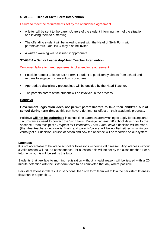# **STAGE 3 – Head of Sixth Form Intervention**

#### Failure to meet the requirements set by the attendance agreement

- A letter will be sent to the parents/carers of the student informing them of the situation and inviting them to a meeting.
- The offending student will be asked to meet with the Head of Sixth Form with parents/carers. Our HALO may also be invited.
- A written warning will be issued if appropriate.

#### **STAGE 4 – Senior Leadership/Head Teacher Intervention**

Continued failure to meet requirements of attendance agreement

- Possible request to leave Sixth Form if student is persistently absent from school and refuses to engage in intervention procedures.
- Appropriate disciplinary proceedings will be decided by the Head Teacher.
- The parents/carers of the student will be involved in the process.

#### **Holidays**

**Government legislation does not permit parents/carers to take their child/ren out of school during term time** as this can have a detrimental effect on their academic progress.

Holidays **will not be authorised** in school time parents/carers wishing to apply for exceptional circumstances need to contact the Sixth Form Manager at least 20 school days prior to the absence. Upon receipt of a *Request for Exceptional Term Time Leave* a decision will be made, (the Headteachers decision is final), and parents/carers will be notified either in writing/or verbally of our decision, course of action and how the absence will be recorded on our system.

#### **Lateness**

It is not acceptable to be late to school or to lessons without a valid reason. Any lateness without a valid reason will incur a consequence- for a lesson, this will be set by the class teacher. For a tutor activity, this will be set by the tutor.

Students that are late to morning registration without a valid reason will be issued with a 20 minute detention with the Sixth form team to be completed that day where possible.

Persistent lateness will result in sanctions; the Sixth form team will follow the persistent lateness flowchart in appendix 1.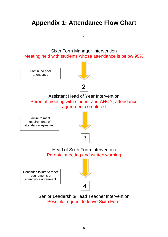# **Appendix 1: Attendance Flow Chart**



Sixth Form Manager Intervention Meeting held with students whose attendance is below 95%

Continued poor attendance



Assistant Head of Year Intervention Parental meeting with student and AHOY, attendance agreement completed

Failure to meet requirements of attendance agreement



Head of Sixth Form Intervention Parental meeting and written warning

Continued failure to meet requirements of attendance agreement



Senior Leadership/Head Teacher Intervention Possible request to leave Sixth Form